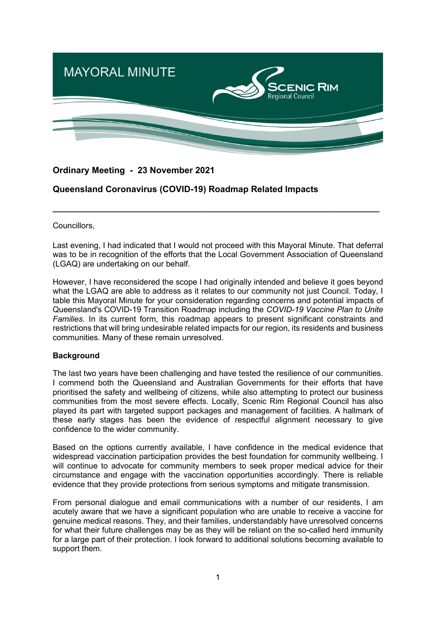

# **Ordinary Meeting - 23 November 2021**

# **Queensland Coronavirus (COVID-19) Roadmap Related Impacts**

Councillors,

Last evening, I had indicated that I would not proceed with this Mayoral Minute. That deferral was to be in recognition of the efforts that the Local Government Association of Queensland (LGAQ) are undertaking on our behalf.

**\_\_\_\_\_\_\_\_\_\_\_\_\_\_\_\_\_\_\_\_\_\_\_\_\_\_\_\_\_\_\_\_\_\_\_\_\_\_\_\_\_\_\_\_\_\_\_\_\_\_\_\_\_\_\_\_\_\_\_\_\_\_\_\_\_\_\_\_\_\_\_\_\_**

However, I have reconsidered the scope I had originally intended and believe it goes beyond what the LGAQ are able to address as it relates to our community not just Council. Today, I table this Mayoral Minute for your consideration regarding concerns and potential impacts of Queensland's COVID-19 Transition Roadmap including the *COVID-19 Vaccine Plan to Unite Families*. In its current form, this roadmap appears to present significant constraints and restrictions that will bring undesirable related impacts for our region, its residents and business communities. Many of these remain unresolved.

## **Background**

The last two years have been challenging and have tested the resilience of our communities. I commend both the Queensland and Australian Governments for their efforts that have prioritised the safety and wellbeing of citizens, while also attempting to protect our business communities from the most severe effects. Locally, Scenic Rim Regional Council has also played its part with targeted support packages and management of facilities. A hallmark of these early stages has been the evidence of respectful alignment necessary to give confidence to the wider community.

Based on the options currently available, I have confidence in the medical evidence that widespread vaccination participation provides the best foundation for community wellbeing. I will continue to advocate for community members to seek proper medical advice for their circumstance and engage with the vaccination opportunities accordingly. There is reliable evidence that they provide protections from serious symptoms and mitigate transmission.

From personal dialogue and email communications with a number of our residents, I am acutely aware that we have a significant population who are unable to receive a vaccine for genuine medical reasons. They, and their families, understandably have unresolved concerns for what their future challenges may be as they will be reliant on the so-called herd immunity for a large part of their protection. I look forward to additional solutions becoming available to support them.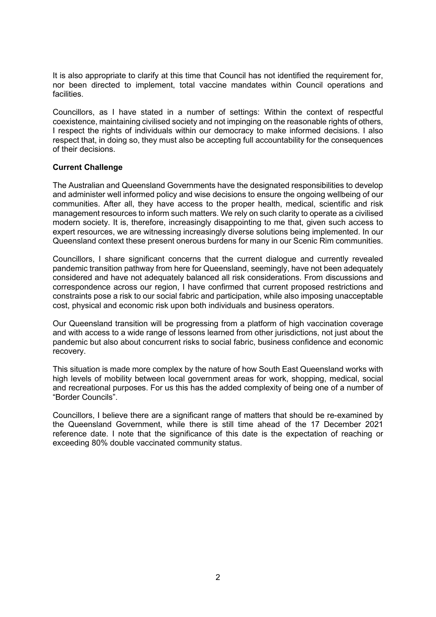It is also appropriate to clarify at this time that Council has not identified the requirement for, nor been directed to implement, total vaccine mandates within Council operations and facilities.

Councillors, as I have stated in a number of settings: Within the context of respectful coexistence, maintaining civilised society and not impinging on the reasonable rights of others, I respect the rights of individuals within our democracy to make informed decisions. I also respect that, in doing so, they must also be accepting full accountability for the consequences of their decisions.

#### **Current Challenge**

The Australian and Queensland Governments have the designated responsibilities to develop and administer well informed policy and wise decisions to ensure the ongoing wellbeing of our communities. After all, they have access to the proper health, medical, scientific and risk management resources to inform such matters. We rely on such clarity to operate as a civilised modern society. It is, therefore, increasingly disappointing to me that, given such access to expert resources, we are witnessing increasingly diverse solutions being implemented. In our Queensland context these present onerous burdens for many in our Scenic Rim communities.

Councillors, I share significant concerns that the current dialogue and currently revealed pandemic transition pathway from here for Queensland, seemingly, have not been adequately considered and have not adequately balanced all risk considerations. From discussions and correspondence across our region, I have confirmed that current proposed restrictions and constraints pose a risk to our social fabric and participation, while also imposing unacceptable cost, physical and economic risk upon both individuals and business operators.

Our Queensland transition will be progressing from a platform of high vaccination coverage and with access to a wide range of lessons learned from other jurisdictions, not just about the pandemic but also about concurrent risks to social fabric, business confidence and economic recovery.

This situation is made more complex by the nature of how South East Queensland works with high levels of mobility between local government areas for work, shopping, medical, social and recreational purposes. For us this has the added complexity of being one of a number of "Border Councils".

Councillors, I believe there are a significant range of matters that should be re-examined by the Queensland Government, while there is still time ahead of the 17 December 2021 reference date. I note that the significance of this date is the expectation of reaching or exceeding 80% double vaccinated community status.